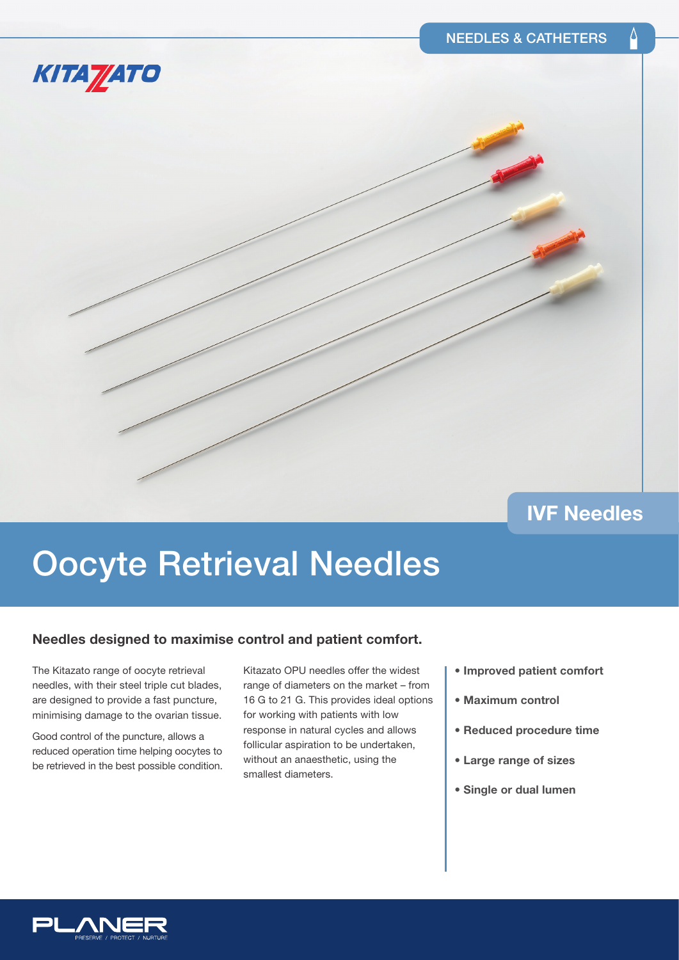### **IVF Needles**

# Oocyte Retrieval Needles

#### **Needles designed to maximise control and patient comfort.**

The Kitazato range of oocyte retrieval needles, with their steel triple cut blades, are designed to provide a fast puncture, minimising damage to the ovarian tissue.

KITA<sub></sub> ZATO

Good control of the puncture, allows a reduced operation time helping oocytes to be retrieved in the best possible condition.

Kitazato OPU needles offer the widest range of diameters on the market – from 16 G to 21 G. This provides ideal options for working with patients with low response in natural cycles and allows follicular aspiration to be undertaken, without an anaesthetic, using the smallest diameters.

- **Improved patient comfort**
- **Maximum control**
- **Reduced procedure time**
- **Large range of sizes**
- **Single or dual lumen**